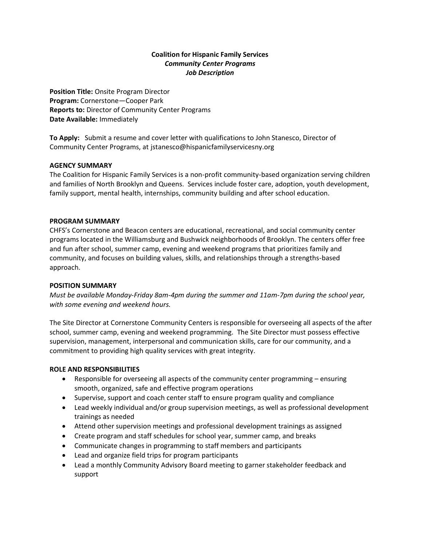# **Coalition for Hispanic Family Services** *Community Center Programs Job Description*

**Position Title:** Onsite Program Director **Program:** Cornerstone—Cooper Park **Reports to:** Director of Community Center Programs **Date Available:** Immediately

**To Apply:** Submit a resume and cover letter with qualifications to John Stanesco, Director of Community Center Programs, at jstanesco@hispanicfamilyservicesny.org

## **AGENCY SUMMARY**

The Coalition for Hispanic Family Services is a non-profit community-based organization serving children and families of North Brooklyn and Queens. Services include foster care, adoption, youth development, family support, mental health, internships, community building and after school education.

### **PROGRAM SUMMARY**

CHFS's Cornerstone and Beacon centers are educational, recreational, and social community center programs located in the Williamsburg and Bushwick neighborhoods of Brooklyn. The centers offer free and fun after school, summer camp, evening and weekend programs that prioritizes family and community, and focuses on building values, skills, and relationships through a strengths-based approach.

### **POSITION SUMMARY**

*Must be available Monday-Friday 8am-4pm during the summer and 11am-7pm during the school year, with some evening and weekend hours.*

The Site Director at Cornerstone Community Centers is responsible for overseeing all aspects of the after school, summer camp, evening and weekend programming. The Site Director must possess effective supervision, management, interpersonal and communication skills, care for our community, and a commitment to providing high quality services with great integrity.

#### **ROLE AND RESPONSIBILITIES**

- Responsible for overseeing all aspects of the community center programming ensuring smooth, organized, safe and effective program operations
- Supervise, support and coach center staff to ensure program quality and compliance
- Lead weekly individual and/or group supervision meetings, as well as professional development trainings as needed
- Attend other supervision meetings and professional development trainings as assigned
- Create program and staff schedules for school year, summer camp, and breaks
- Communicate changes in programming to staff members and participants
- Lead and organize field trips for program participants
- Lead a monthly Community Advisory Board meeting to garner stakeholder feedback and support